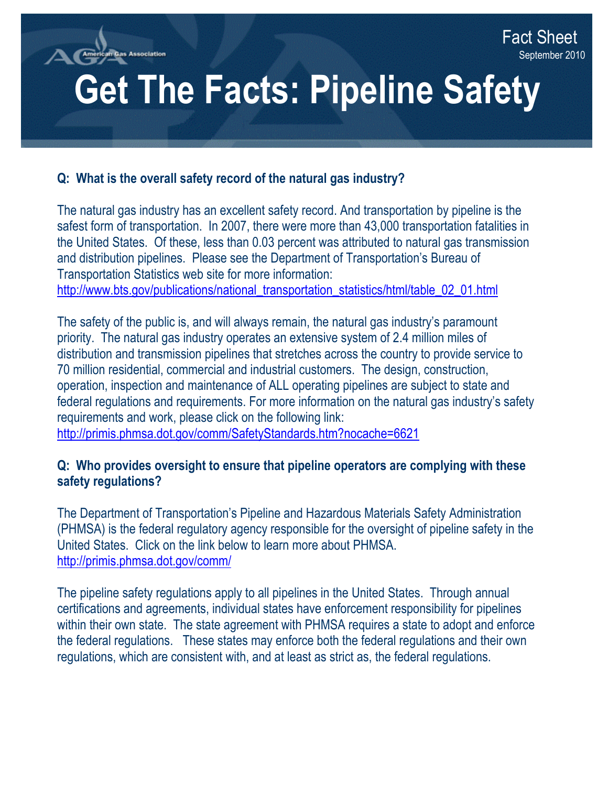as Association

**i** 

# **Get The Facts: Pipeline Safety**

**and Natural Gas Utilities**

### **Q: What is the overall safety record of the natural gas industry?**

The natural gas industry has an excellent safety record. And transportation by pipeline is the safest form of transportation. In 2007, there were more than 43,000 transportation fatalities in the United States. Of these, less than 0.03 percent was attributed to natural gas transmission and distribution pipelines. Please see the Department of Transportation's Bureau of Transportation Statistics web site for more information: http://www.bts.gov/publications/national\_transportation\_statistics/html/table\_02\_01.html

The safety of the public is, and will always remain, the natural gas industry's paramount priority. The natural gas industry operates an extensive system of 2.4 million miles of distribution and transmission pipelines that stretches across the country to provide service to 70 million residential, commercial and industrial customers. The design, construction, operation, inspection and maintenance of ALL operating pipelines are subject to state and federal regulations and requirements. For more information on the natural gas industry's safety requirements and work, please click on the following link:

<http://primis.phmsa.dot.gov/comm/SafetyStandards.htm?nocache=6621>

#### **Q: Who provides oversight to ensure that pipeline operators are complying with these safety regulations?**

The Department of Transportation's Pipeline and Hazardous Materials Safety Administration (PHMSA) is the federal regulatory agency responsible for the oversight of pipeline safety in the United States. Click on the link below to learn more about PHMSA. <http://primis.phmsa.dot.gov/comm/>

The pipeline safety regulations apply to all pipelines in the United States. Through annual certifications and agreements, individual states have enforcement responsibility for pipelines within their own state. The state agreement with PHMSA requires a state to adopt and enforce the federal regulations. These states may enforce both the federal regulations and their own regulations, which are consistent with, and at least as strict as, the federal regulations.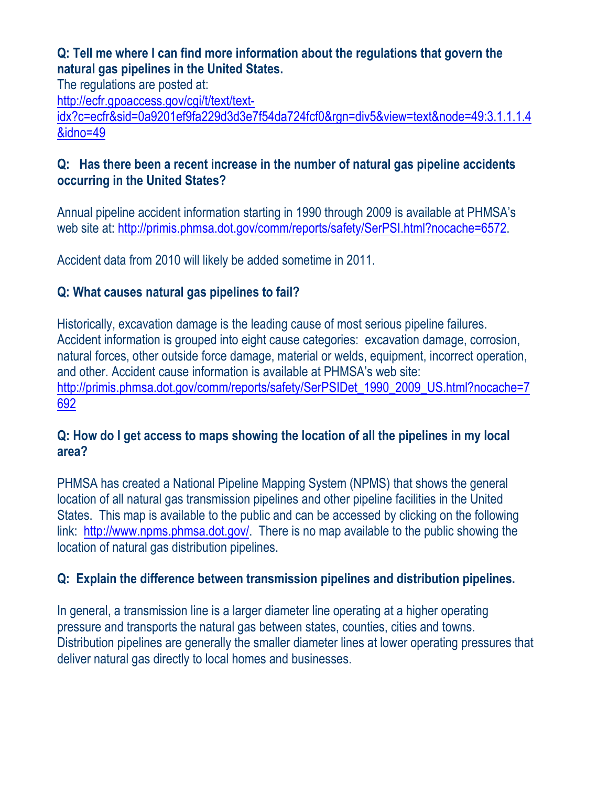## **Q: Tell me where I can find more information about the regulations that govern the natural gas pipelines in the United States.**

The regulations are posted at:

[http://ecfr.gpoaccess.gov/cgi/t/text/text-](http://ecfr.gpoaccess.gov/cgi/t/text/text-idx?c=ecfr&sid=0a9201ef9fa229d3d3e7f54da724fcf0&rgn=div5&view=text&node=49:3.1.1.1.4&idno=49)

[idx?c=ecfr&sid=0a9201ef9fa229d3d3e7f54da724fcf0&rgn=div5&view=text&node=49:3.1.1.1.4](http://ecfr.gpoaccess.gov/cgi/t/text/text-idx?c=ecfr&sid=0a9201ef9fa229d3d3e7f54da724fcf0&rgn=div5&view=text&node=49:3.1.1.1.4&idno=49) [&idno=49](http://ecfr.gpoaccess.gov/cgi/t/text/text-idx?c=ecfr&sid=0a9201ef9fa229d3d3e7f54da724fcf0&rgn=div5&view=text&node=49:3.1.1.1.4&idno=49) 

# **Q: Has there been a recent increase in the number of natural gas pipeline accidents occurring in the United States?**

Annual pipeline accident information starting in 1990 through 2009 is available at PHMSA's web site at: <http://primis.phmsa.dot.gov/comm/reports/safety/SerPSI.html?nocache=6572>.

Accident data from 2010 will likely be added sometime in 2011.

# **Q: What causes natural gas pipelines to fail?**

Historically, excavation damage is the leading cause of most serious pipeline failures. Accident information is grouped into eight cause categories: excavation damage, corrosion, natural forces, other outside force damage, material or welds, equipment, incorrect operation, and other. Accident cause information is available at PHMSA's web site: http://primis.phmsa.dot.gov/comm/reports/safety/SerPSIDet\_1990\_2009\_US.html?nocache=7 [692](http://primis.phmsa.dot.gov/comm/reports/safety/SerPSIDet_1990_2009_US.html?nocache=7692) 

## **Q: How do I get access to maps showing the location of all the pipelines in my local area?**

link: [http://www.npms.phmsa.dot.gov/.](http://www.npms.phmsa.dot.gov/) There is no map available to the public showing the PHMSA has created a National Pipeline Mapping System (NPMS) that shows the general location of all natural gas transmission pipelines and other pipeline facilities in the United States. This map is available to the public and can be accessed by clicking on the following location of natural gas distribution pipelines.

# **Q: Explain the difference between transmission pipelines and distribution pipelines.**

pressure and transports the natural gas between states, counties, cities and towns. In general, a transmission line is a larger diameter line operating at a higher operating Distribution pipelines are generally the smaller diameter lines at lower operating pressures that deliver natural gas directly to local homes and businesses.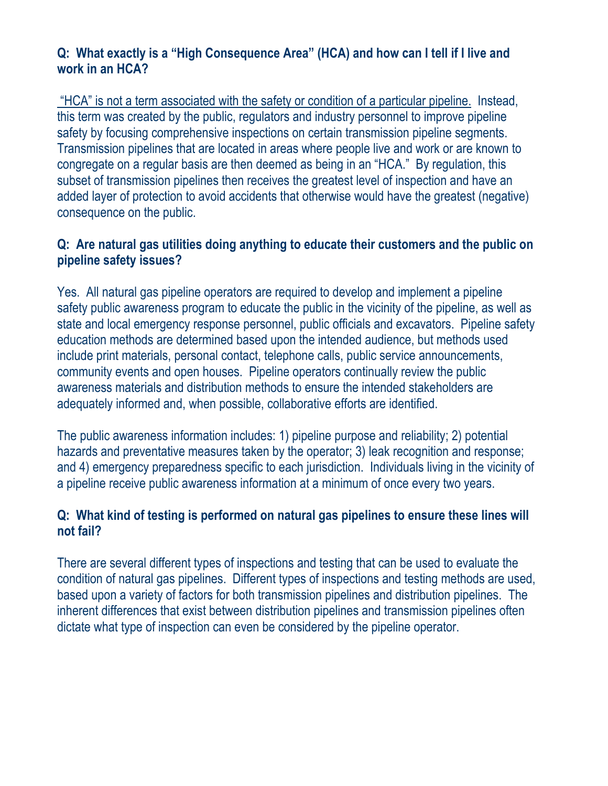## **Q: What exactly is a "High Consequence Area" (HCA) and how can I tell if I live and work in an HCA?**

 "HCA" is not a term associated with the safety or condition of a particular pipeline. Instead, this term was created by the public, regulators and industry personnel to improve pipeline safety by focusing comprehensive inspections on certain transmission pipeline segments. Transmission pipelines that are located in areas where people live and work or are known to congregate on a regular basis are then deemed as being in an "HCA." By regulation, this subset of transmission pipelines then receives the greatest level of inspection and have an added layer of protection to avoid accidents that otherwise would have the greatest (negative) consequence on the public.

## **Q: Are natural gas utilities doing anything to educate their customers and the public on pipeline safety issues?**

Yes. All natural gas pipeline operators are required to develop and implement a pipeline safety public awareness program to educate the public in the vicinity of the pipeline, as well as state and local emergency response personnel, public officials and excavators. Pipeline safety education methods are determined based upon the intended audience, but methods used include print materials, personal contact, telephone calls, public service announcements, community events and open houses. Pipeline operators continually review the public awareness materials and distribution methods to ensure the intended stakeholders are adequately informed and, when possible, collaborative efforts are identified.

The public awareness information includes: 1) pipeline purpose and reliability; 2) potential hazards and preventative measures taken by the operator; 3) leak recognition and response; and 4) emergency preparedness specific to each jurisdiction. Individuals living in the vicinity of a pipeline receive public awareness information at a minimum of once every two years.

## **Q: What kind of testing is performed on natural gas pipelines to ensure these lines will not fail?**

There are several different types of inspections and testing that can be used to evaluate the condition of natural gas pipelines. Different types of inspections and testing methods are used, based upon a variety of factors for both transmission pipelines and distribution pipelines. The inherent differences that exist between distribution pipelines and transmission pipelines often dictate what type of inspection can even be considered by the pipeline operator.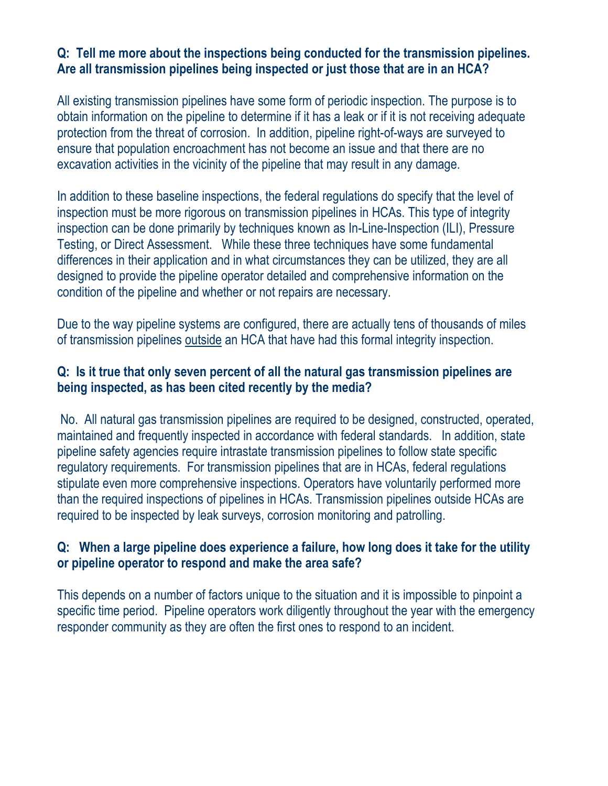#### **Are all transmission pipelines being inspected or just those that are in an HCA? Q: Tell me more about the inspections being conducted for the transmission pipelines.**

All existing transmission pipelines have some form of periodic inspection. The purpose is to obtain information on the pipeline to determine if it has a leak or if it is not receiving adequate protection from the threat of corrosion. In addition, pipeline right-of-ways are surveyed to ensure that population encroachment has not become an issue and that there are no excavation activities in the vicinity of the pipeline that may result in any damage.

In addition to these baseline inspections, the federal regulations do specify that the level of inspection must be more rigorous on transmission pipelines in HCAs. This type of integrity inspection can be done primarily by techniques known as In-Line-Inspection (ILI), Pressure Testing, or Direct Assessment. While these three techniques have some fundamental differences in their application and in what circumstances they can be utilized, they are all designed to provide the pipeline operator detailed and comprehensive information on the condition of the pipeline and whether or not repairs are necessary.

Due to the way pipeline systems are configured, there are actually tens of thousands of miles of transmission pipelines outside an HCA that have had this formal integrity inspection.

#### **Q: Is it true that only seven percent of all the natural gas transmission pipelines are being inspected, as has been cited recently by the media?**

No. All natural gas transmission pipelines are required to be designed, constructed, operated, maintained and frequently inspected in accordance with federal standards. In addition, state pipeline safety agencies require intrastate transmission pipelines to follow state specific regulatory requirements. For transmission pipelines that are in HCAs, federal regulations stipulate even more comprehensive inspections. Operators have voluntarily performed more than the required inspections of pipelines in HCAs. Transmission pipelines outside HCAs are required to be inspected by leak surveys, corrosion monitoring and patrolling.

#### **Q: When a large pipeline does experience a failure, how long does it take for the utility or pipeline operator to respond and make the area safe?**

This depends on a number of factors unique to the situation and it is impossible to pinpoint a specific time period. Pipeline operators work diligently throughout the year with the emergency responder community as they are often the first ones to respond to an incident.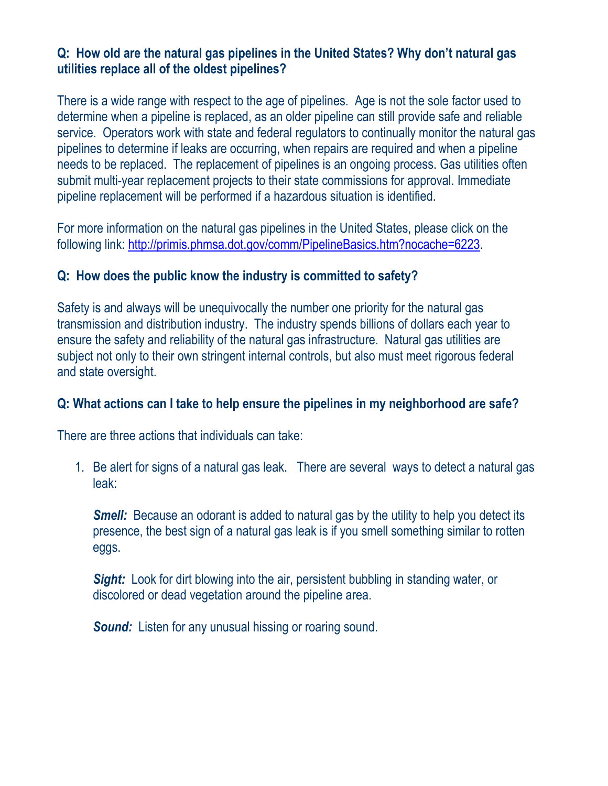## **Q: How old are the natural gas pipelines in the United States? Why don't natural gas utilities replace all of the oldest pipelines?**

There is a wide range with respect to the age of pipelines. Age is not the sole factor used to determine when a pipeline is replaced, as an older pipeline can still provide safe and reliable service. Operators work with state and federal regulators to continually monitor the natural gas pipelines to determine if leaks are occurring, when repairs are required and when a pipeline needs to be replaced. The replacement of pipelines is an ongoing process. Gas utilities often submit multi-year replacement projects to their state commissions for approval. Immediate pipeline replacement will be performed if a hazardous situation is identified.

For more information on the natural gas pipelines in the United States, please click on the following link:<http://primis.phmsa.dot.gov/comm/PipelineBasics.htm?nocache=6223>.

#### **Q: How does the public know the industry is committed to safety?**

Safety is and always will be unequivocally the number one priority for the natural gas transmission and distribution industry. The industry spends billions of dollars each year to ensure the safety and reliability of the natural gas infrastructure. Natural gas utilities are subject not only to their own stringent internal controls, but also must meet rigorous federal and state oversight.

#### **Q: What actions can I take to help ensure the pipelines in my neighborhood are safe?**

There are three actions that individuals can take:

1. Be alert for signs of a natural gas leak. There are several ways to detect a natural gas leak:

**Smell:** Because an odorant is added to natural gas by the utility to help you detect its presence, the best sign of a natural gas leak is if you smell something similar to rotten eggs.

*Sight:* Look for dirt blowing into the air, persistent bubbling in standing water, or discolored or dead vegetation around the pipeline area.

 *Sound:* Listen for any unusual hissing or roaring sound.